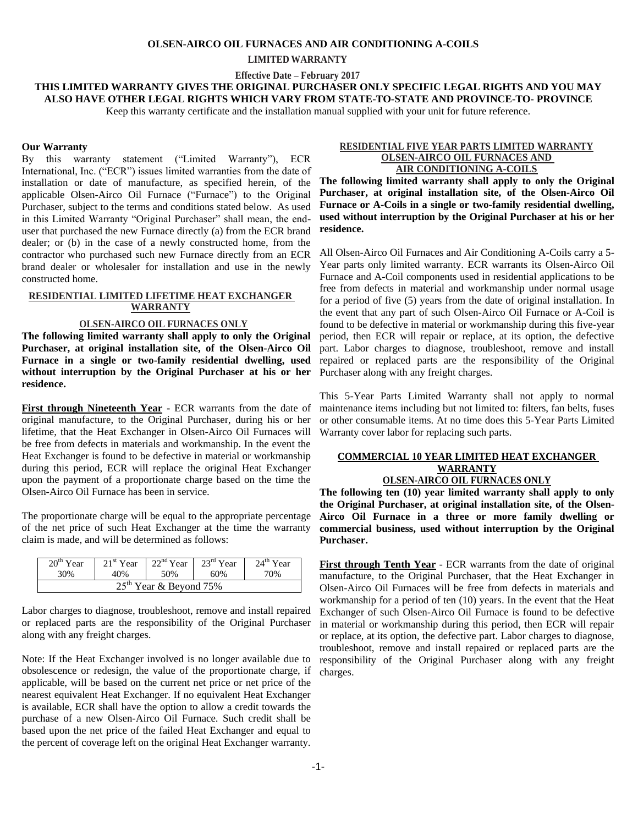#### **OLSEN-AIRCO OIL FURNACES AND AIR CONDITIONING A-COILS**

#### **LIMITED WARRANTY**

 **Effective Date – February 2017**

**THIS LIMITED WARRANTY GIVES THE ORIGINAL PURCHASER ONLY SPECIFIC LEGAL RIGHTS AND YOU MAY ALSO HAVE OTHER LEGAL RIGHTS WHICH VARY FROM STATE-TO-STATE AND PROVINCE-TO- PROVINCE** 

Keep this warranty certificate and the installation manual supplied with your unit for future reference.

#### **Our Warranty**

By this warranty statement ("Limited Warranty"), ECR International, Inc. ("ECR") issues limited warranties from the date of installation or date of manufacture, as specified herein, of the applicable Olsen-Airco Oil Furnace ("Furnace") to the Original Purchaser, subject to the terms and conditions stated below. As used in this Limited Warranty "Original Purchaser" shall mean, the enduser that purchased the new Furnace directly (a) from the ECR brand dealer; or (b) in the case of a newly constructed home, from the contractor who purchased such new Furnace directly from an ECR brand dealer or wholesaler for installation and use in the newly constructed home.

# **RESIDENTIAL LIMITED LIFETIME HEAT EXCHANGER WARRANTY**

## **OLSEN-AIRCO OIL FURNACES ONLY**

**The following limited warranty shall apply to only the Original Purchaser, at original installation site, of the Olsen-Airco Oil Furnace in a single or two-family residential dwelling, used without interruption by the Original Purchaser at his or her residence.** 

**First through Nineteenth Year -** ECR warrants from the date of original manufacture, to the Original Purchaser, during his or her lifetime, that the Heat Exchanger in Olsen-Airco Oil Furnaces will be free from defects in materials and workmanship. In the event the Heat Exchanger is found to be defective in material or workmanship during this period, ECR will replace the original Heat Exchanger upon the payment of a proportionate charge based on the time the Olsen-Airco Oil Furnace has been in service.

The proportionate charge will be equal to the appropriate percentage of the net price of such Heat Exchanger at the time the warranty claim is made, and will be determined as follows:

| $20th$ Year              | $121^{\text{st}}$ Year | $22nd Year$ 23 <sup>rd</sup> Year |     | $24^{\text{th}}$ Year |
|--------------------------|------------------------|-----------------------------------|-----|-----------------------|
| 30%                      | 40%                    | .50%                              | 60% | 70%                   |
| $25th$ Year & Beyond 75% |                        |                                   |     |                       |

Labor charges to diagnose, troubleshoot, remove and install repaired or replaced parts are the responsibility of the Original Purchaser along with any freight charges.

Note: If the Heat Exchanger involved is no longer available due to obsolescence or redesign, the value of the proportionate charge, if applicable, will be based on the current net price or net price of the nearest equivalent Heat Exchanger. If no equivalent Heat Exchanger is available, ECR shall have the option to allow a credit towards the purchase of a new Olsen-Airco Oil Furnace. Such credit shall be based upon the net price of the failed Heat Exchanger and equal to the percent of coverage left on the original Heat Exchanger warranty.

# **RESIDENTIAL FIVE YEAR PARTS LIMITED WARRANTY OLSEN-AIRCO OIL FURNACES AND AIR CONDITIONING A-COILS**

**The following limited warranty shall apply to only the Original Purchaser, at original installation site, of the Olsen-Airco Oil Furnace or A-Coils in a single or two-family residential dwelling, used without interruption by the Original Purchaser at his or her residence.** 

All Olsen-Airco Oil Furnaces and Air Conditioning A-Coils carry a 5- Year parts only limited warranty. ECR warrants its Olsen-Airco Oil Furnace and A-Coil components used in residential applications to be free from defects in material and workmanship under normal usage for a period of five (5) years from the date of original installation. In the event that any part of such Olsen-Airco Oil Furnace or A-Coil is found to be defective in material or workmanship during this five-year period, then ECR will repair or replace, at its option, the defective part. Labor charges to diagnose, troubleshoot, remove and install repaired or replaced parts are the responsibility of the Original Purchaser along with any freight charges.

This 5-Year Parts Limited Warranty shall not apply to normal maintenance items including but not limited to: filters, fan belts, fuses or other consumable items. At no time does this 5-Year Parts Limited Warranty cover labor for replacing such parts.

# **COMMERCIAL 10 YEAR LIMITED HEAT EXCHANGER WARRANTY OLSEN-AIRCO OIL FURNACES ONLY**

**The following ten (10) year limited warranty shall apply to only the Original Purchaser, at original installation site, of the Olsen-Airco Oil Furnace in a three or more family dwelling or commercial business, used without interruption by the Original Purchaser.** 

**First through Tenth Year** - ECR warrants from the date of original manufacture, to the Original Purchaser, that the Heat Exchanger in Olsen-Airco Oil Furnaces will be free from defects in materials and workmanship for a period of ten (10) years. In the event that the Heat Exchanger of such Olsen-Airco Oil Furnace is found to be defective in material or workmanship during this period, then ECR will repair or replace, at its option, the defective part. Labor charges to diagnose, troubleshoot, remove and install repaired or replaced parts are the responsibility of the Original Purchaser along with any freight charges.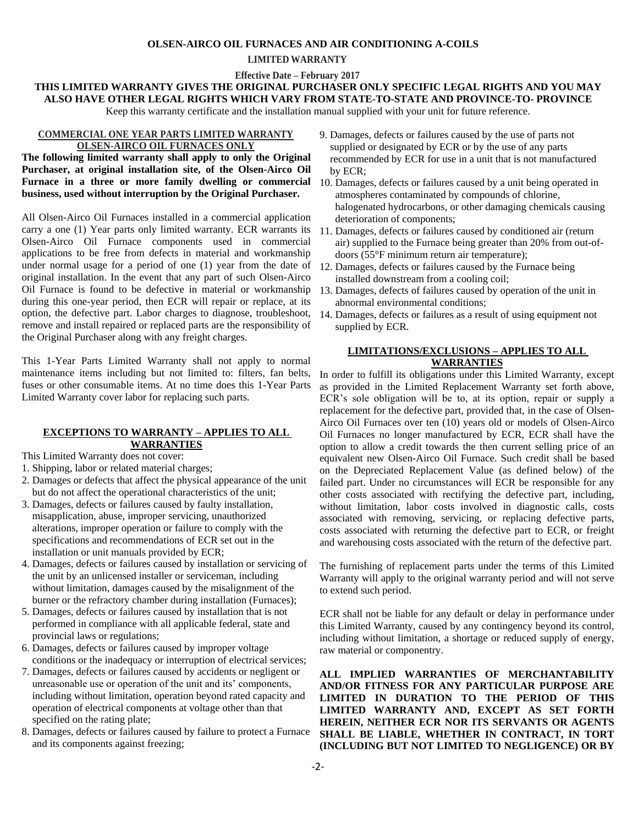#### **OLSEN-AIRCO OIL FURNACES AND AIR CONDITIONING A-COILS**

#### **LIMITED WARRANTY**

 **Effective Date – February 2017**

# **THIS LIMITED WARRANTY GIVES THE ORIGINAL PURCHASER ONLY SPECIFIC LEGAL RIGHTS AND YOU MAY ALSO HAVE OTHER LEGAL RIGHTS WHICH VARY FROM STATE-TO-STATE AND PROVINCE-TO- PROVINCE**

Keep this warranty certificate and the installation manual supplied with your unit for future reference.

#### **COMMERCIAL ONE YEAR PARTS LIMITED WARRANTY OLSEN-AIRCO OIL FURNACES ONLY**

**The following limited warranty shall apply to only the Original Purchaser, at original installation site, of the Olsen-Airco Oil Furnace in a three or more family dwelling or commercial business, used without interruption by the Original Purchaser.**

All Olsen-Airco Oil Furnaces installed in a commercial application carry a one (1) Year parts only limited warranty. ECR warrants its Olsen-Airco Oil Furnace components used in commercial applications to be free from defects in material and workmanship under normal usage for a period of one (1) year from the date of original installation. In the event that any part of such Olsen-Airco Oil Furnace is found to be defective in material or workmanship during this one-year period, then ECR will repair or replace, at its option, the defective part. Labor charges to diagnose, troubleshoot, remove and install repaired or replaced parts are the responsibility of the Original Purchaser along with any freight charges.

This 1-Year Parts Limited Warranty shall not apply to normal maintenance items including but not limited to: filters, fan belts, fuses or other consumable items. At no time does this 1-Year Parts Limited Warranty cover labor for replacing such parts.

# **EXCEPTIONS TO WARRANTY – APPLIES TO ALL WARRANTIES**

This Limited Warranty does not cover:

- 1. Shipping, labor or related material charges;
- 2. Damages or defects that affect the physical appearance of the unit but do not affect the operational characteristics of the unit;
- 3. Damages, defects or failures caused by faulty installation, misapplication, abuse, improper servicing, unauthorized alterations, improper operation or failure to comply with the specifications and recommendations of ECR set out in the installation or unit manuals provided by ECR;
- 4. Damages, defects or failures caused by installation or servicing of the unit by an unlicensed installer or serviceman, including without limitation, damages caused by the misalignment of the burner or the refractory chamber during installation (Furnaces);
- 5. Damages, defects or failures caused by installation that is not performed in compliance with all applicable federal, state and provincial laws or regulations;
- 6. Damages, defects or failures caused by improper voltage conditions or the inadequacy or interruption of electrical services;
- 7. Damages, defects or failures caused by accidents or negligent or unreasonable use or operation of the unit and its' components, including without limitation, operation beyond rated capacity and operation of electrical components at voltage other than that specified on the rating plate;
- 8. Damages, defects or failures caused by failure to protect a Furnace and its components against freezing;
- 9. Damages, defects or failures caused by the use of parts not supplied or designated by ECR or by the use of any parts recommended by ECR for use in a unit that is not manufactured by ECR;
- 10. Damages, defects or failures caused by a unit being operated in atmospheres contaminated by compounds of chlorine, halogenated hydrocarbons, or other damaging chemicals causing deterioration of components;
- 11. Damages, defects or failures caused by conditioned air (return air) supplied to the Furnace being greater than 20% from out-of doors (55°F minimum return air temperature);
- 12. Damages, defects or failures caused by the Furnace being installed downstream from a cooling coil;
- 13. Damages, defects of failures caused by operation of the unit in abnormal environmental conditions;
- 14. Damages, defects or failures as a result of using equipment not supplied by ECR.

# **LIMITATIONS/EXCLUSIONS – APPLIES TO ALL WARRANTIES**

In order to fulfill its obligations under this Limited Warranty, except as provided in the Limited Replacement Warranty set forth above, ECR's sole obligation will be to, at its option, repair or supply a replacement for the defective part, provided that, in the case of Olsen-Airco Oil Furnaces over ten (10) years old or models of Olsen-Airco Oil Furnaces no longer manufactured by ECR, ECR shall have the option to allow a credit towards the then current selling price of an equivalent new Olsen-Airco Oil Furnace. Such credit shall be based on the Depreciated Replacement Value (as defined below) of the failed part. Under no circumstances will ECR be responsible for any other costs associated with rectifying the defective part, including, without limitation, labor costs involved in diagnostic calls, costs associated with removing, servicing, or replacing defective parts, costs associated with returning the defective part to ECR, or freight and warehousing costs associated with the return of the defective part.

The furnishing of replacement parts under the terms of this Limited Warranty will apply to the original warranty period and will not serve to extend such period.

ECR shall not be liable for any default or delay in performance under this Limited Warranty, caused by any contingency beyond its control, including without limitation, a shortage or reduced supply of energy, raw material or componentry.

**ALL IMPLIED WARRANTIES OF MERCHANTABILITY AND/OR FITNESS FOR ANY PARTICULAR PURPOSE ARE LIMITED IN DURATION TO THE PERIOD OF THIS LIMITED WARRANTY AND, EXCEPT AS SET FORTH HEREIN, NEITHER ECR NOR ITS SERVANTS OR AGENTS SHALL BE LIABLE, WHETHER IN CONTRACT, IN TORT (INCLUDING BUT NOT LIMITED TO NEGLIGENCE) OR BY**